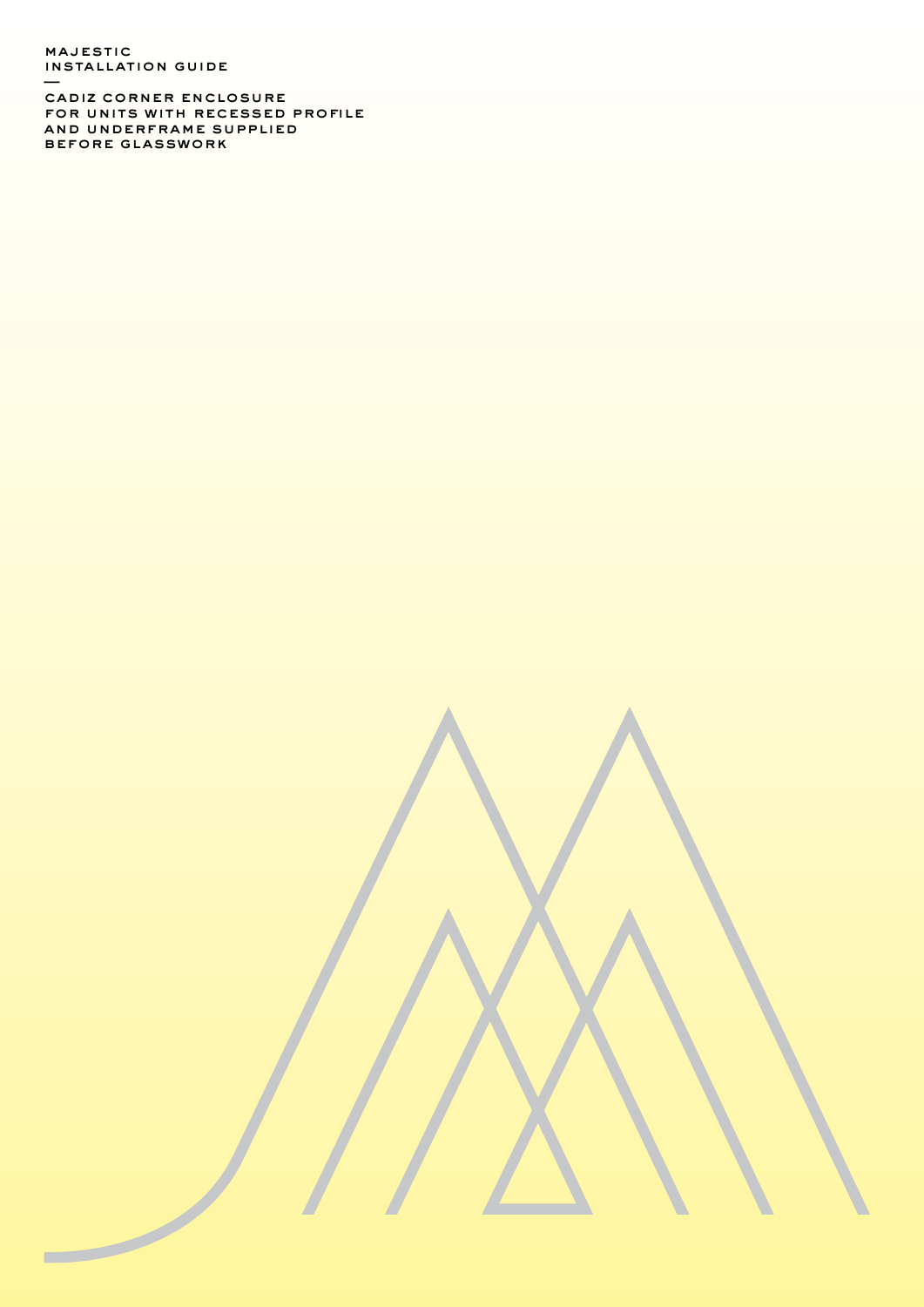majestic installation guide —

 $\overline{\phantom{a}}$ 

cadiz corner enclosure for units with recessed profile and underframe supplied before glasswork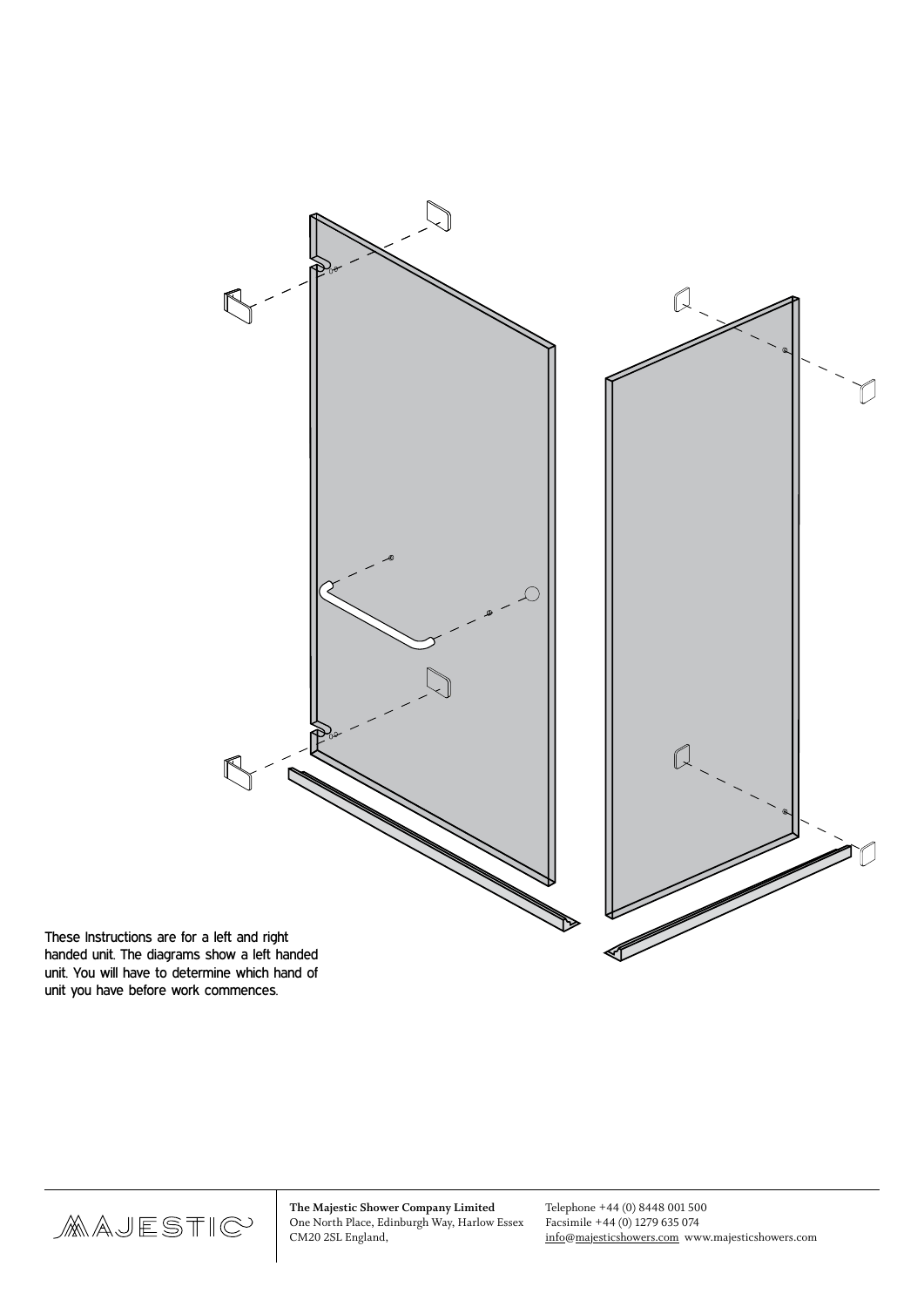

These Instructions are for a left and right handed unit. The diagrams show a left handed unit. You will have to determine which hand of unit you have before work commences.

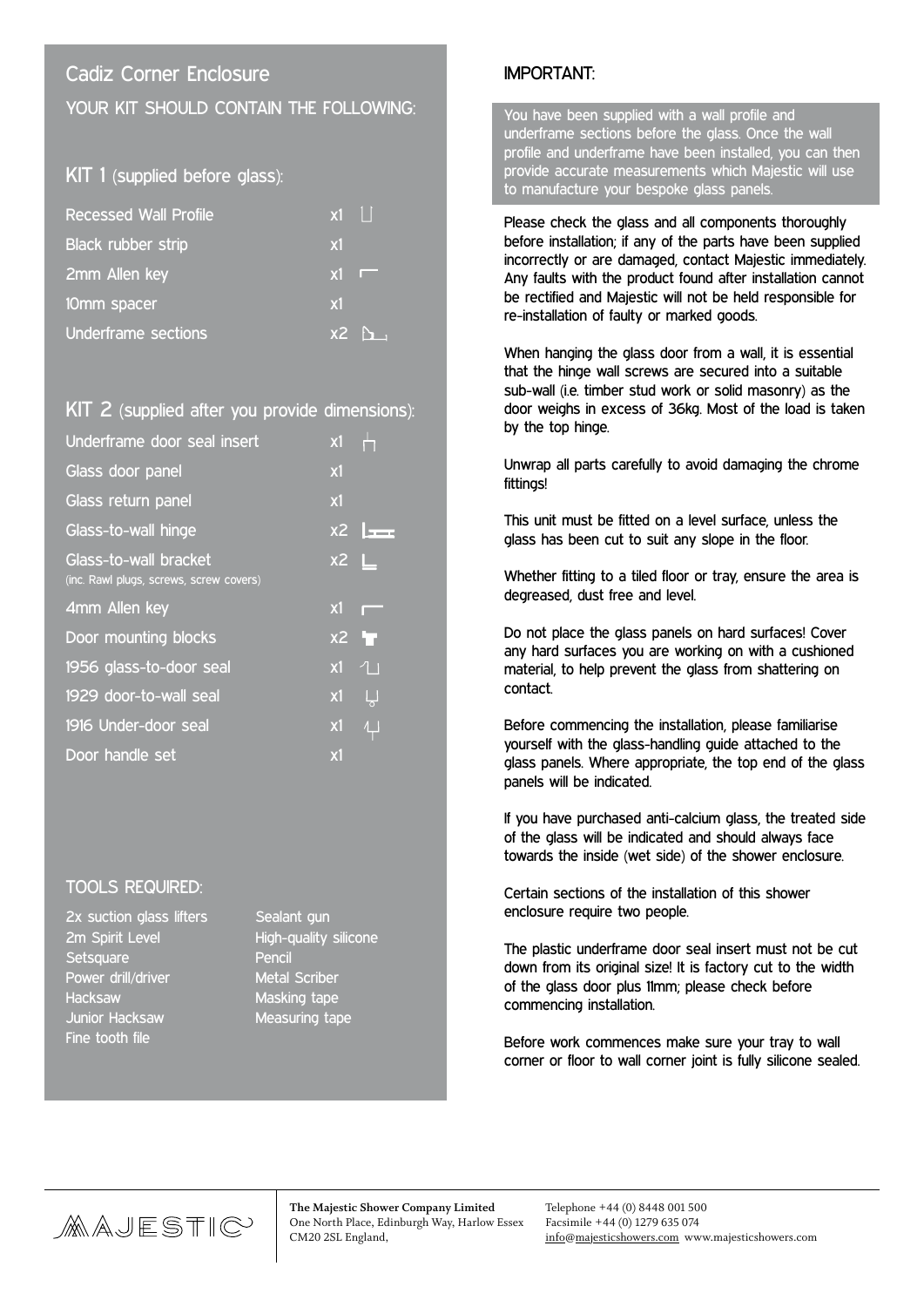## Cadiz Corner Enclosure YOUR KIT SHOULD CONTAIN THE FOLLOWING:

### KIT 1 (supplied before glass):

| <b>Recessed Wall Profile</b> | $\overline{x}$ 1 |                                              |
|------------------------------|------------------|----------------------------------------------|
| Black rubber strip           | x1               |                                              |
| 2mm Allen key                | x1               |                                              |
| 10mm spacer                  | <b>x1</b>        |                                              |
| Underframe sections          |                  | $\overline{\text{X2}}$ $\overline{\text{A}}$ |

#### KIT 2 (supplied after you provide dimensions):

| Underframe door seal insert                                      | x1             |              |
|------------------------------------------------------------------|----------------|--------------|
| Glass door panel                                                 | x1             |              |
| Glass return panel                                               | x1             |              |
| Glass-to-wall hinge                                              |                | $x^2$        |
| Glass-to-wall bracket<br>(inc. Rawl plugs, screws, screw covers) | $x^2$ $\perp$  |              |
| 4mm Allen key                                                    | x1             |              |
| Door mounting blocks                                             | x <sub>2</sub> | L.           |
| 1956 glass-to-door seal                                          | x1             | 1            |
| 1929 door-to-wall seal                                           | x1             | Ų            |
| 1916 Under-door seal                                             | x1             | $\downarrow$ |
| Door handle_set                                                  | x1             |              |

#### TOOLS REQUIRED:

| 2x suction glass lifters |  |
|--------------------------|--|
| 2m Spirit Level          |  |
| Setsquare                |  |
| Power drill/driver       |  |
| <b>Hacksaw</b>           |  |
| Junior Hacksaw           |  |
| Fine tooth file          |  |

Sealant gun High-quality silicone Pencil Metal Scriber Masking tape Measuring tape

### IMPORTANT:

You have been supplied with a wall profile and underframe sections before the glass. Once the wall profile and underframe have been installed, you can then provide accurate measurements which Majestic will use to manufacture your bespoke glass panels.

Please check the glass and all components thoroughly before installation; if any of the parts have been supplied incorrectly or are damaged, contact Majestic immediately. Any faults with the product found after installation cannot be rectified and Majestic will not be held responsible for re-installation of faulty or marked goods.

When hanging the glass door from a wall, it is essential that the hinge wall screws are secured into a suitable sub-wall (i.e. timber stud work or solid masonry) as the door weighs in excess of 36kg. Most of the load is taken by the top hinge.

Unwrap all parts carefully to avoid damaging the chrome fittings!

This unit must be fitted on a level surface, unless the glass has been cut to suit any slope in the floor.

Whether fitting to a tiled floor or tray, ensure the area is degreased, dust free and level.

Do not place the glass panels on hard surfaces! Cover any hard surfaces you are working on with a cushioned material, to help prevent the glass from shattering on contact.

Before commencing the installation, please familiarise yourself with the glass-handling guide attached to the glass panels. Where appropriate, the top end of the glass panels will be indicated.

If you have purchased anti-calcium glass, the treated side of the glass will be indicated and should always face towards the inside (wet side) of the shower enclosure.

Certain sections of the installation of this shower enclosure require two people.

The plastic underframe door seal insert must not be cut down from its original size! It is factory cut to the width of the glass door plus 11mm; please check before commencing installation.

Before work commences make sure your tray to wall corner or floor to wall corner joint is fully silicone sealed.

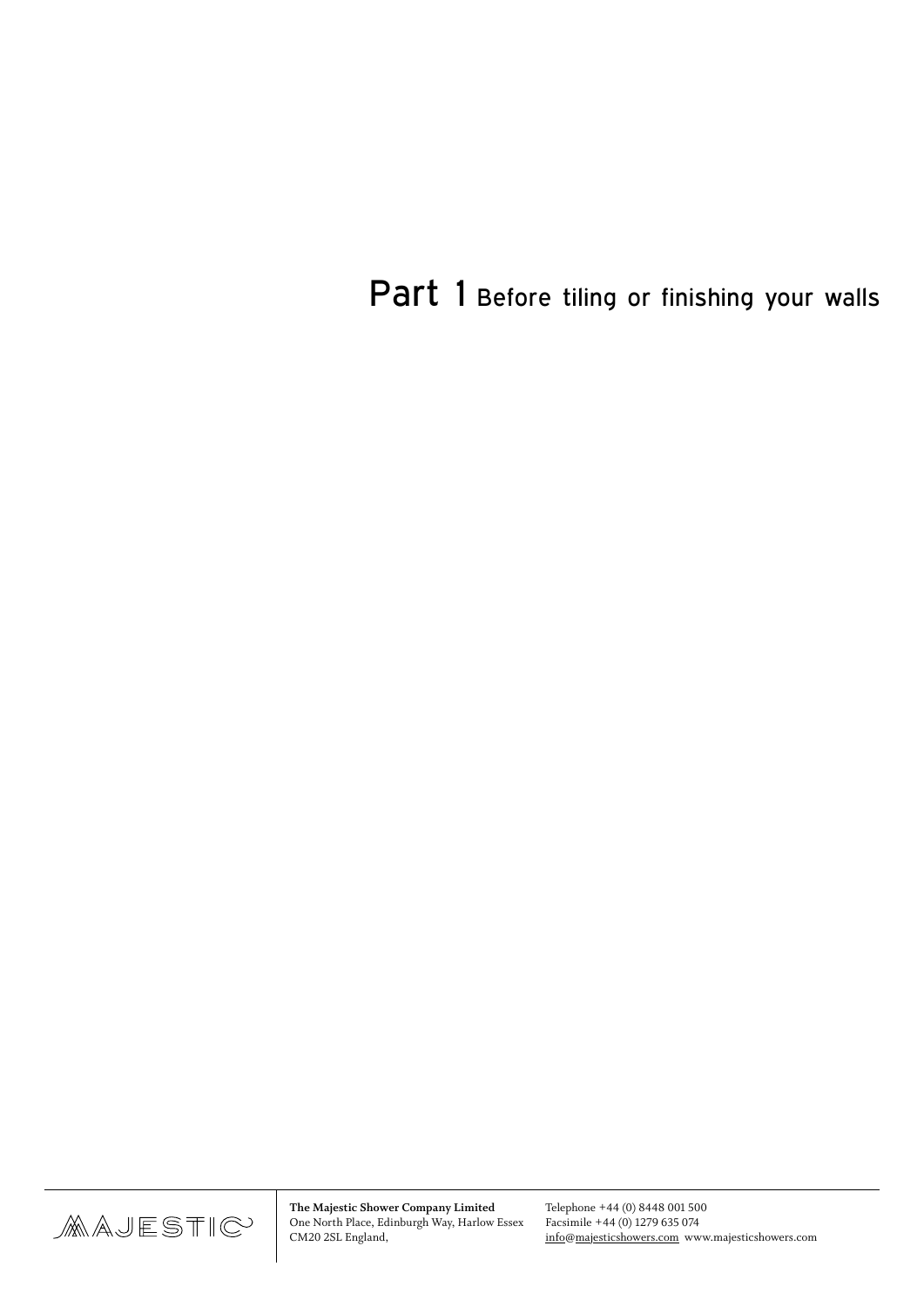Part 1 Before tiling or finishing your walls

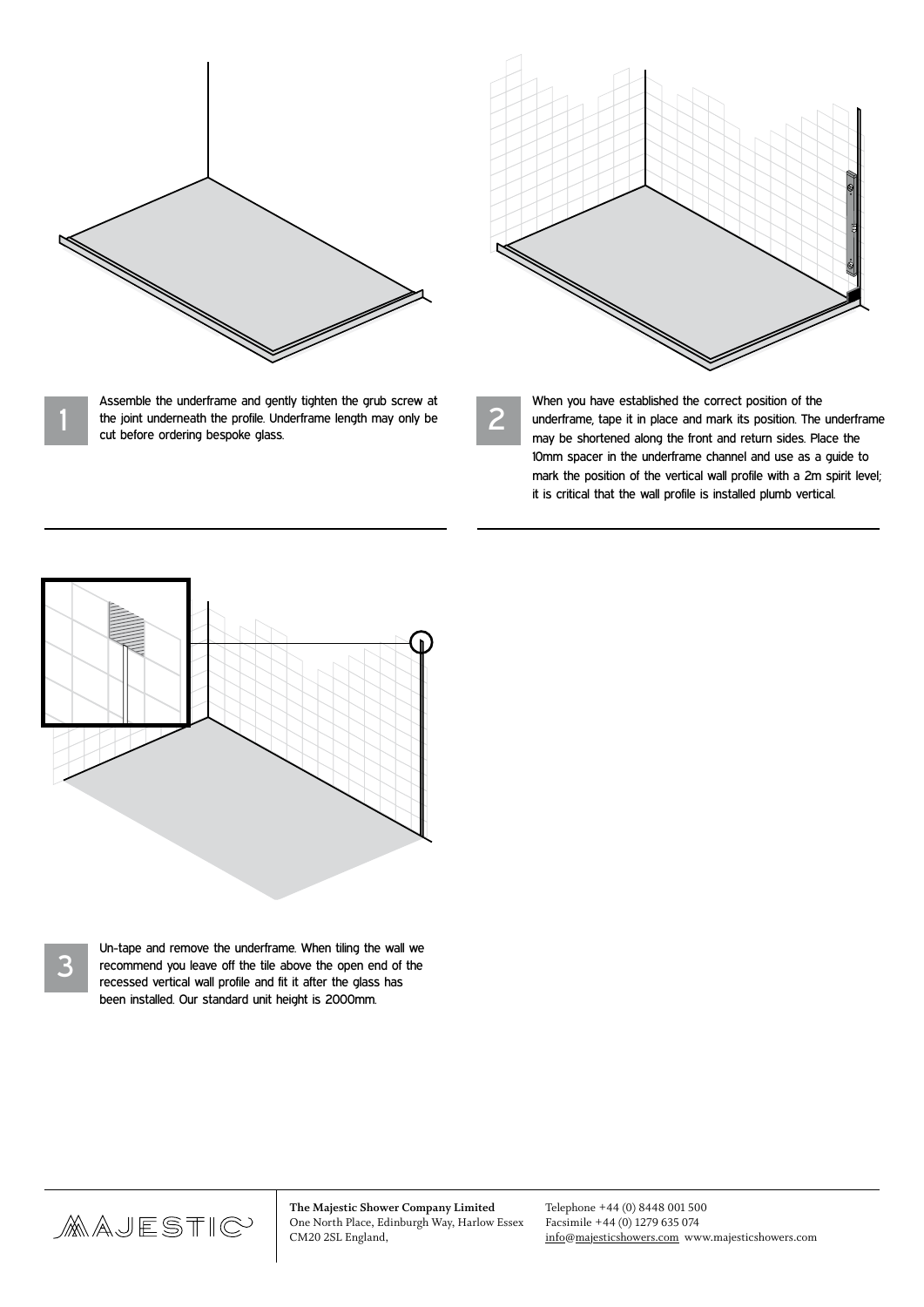

Assemble the underframe and gently tighten the grub screw at the joint underneath the profile. Underframe length may only be cut before ordering bespoke glass.

2

When you have established the correct position of the underframe, tape it in place and mark its position. The underframe may be shortened along the front and return sides. Place the 10mm spacer in the underframe channel and use as a guide to mark the position of the vertical wall profile with a 2m spirit level; it is critical that the wall profile is installed plumb vertical.



1

Un-tape and remove the underframe. When tiling the wall we<br>recommend you leave off the tile above the open end of the<br>recogned vortical wall profile and fit it after the glass has recessed vertical wall profile and fit it after the glass has been installed. Our standard unit height is 2000mm.

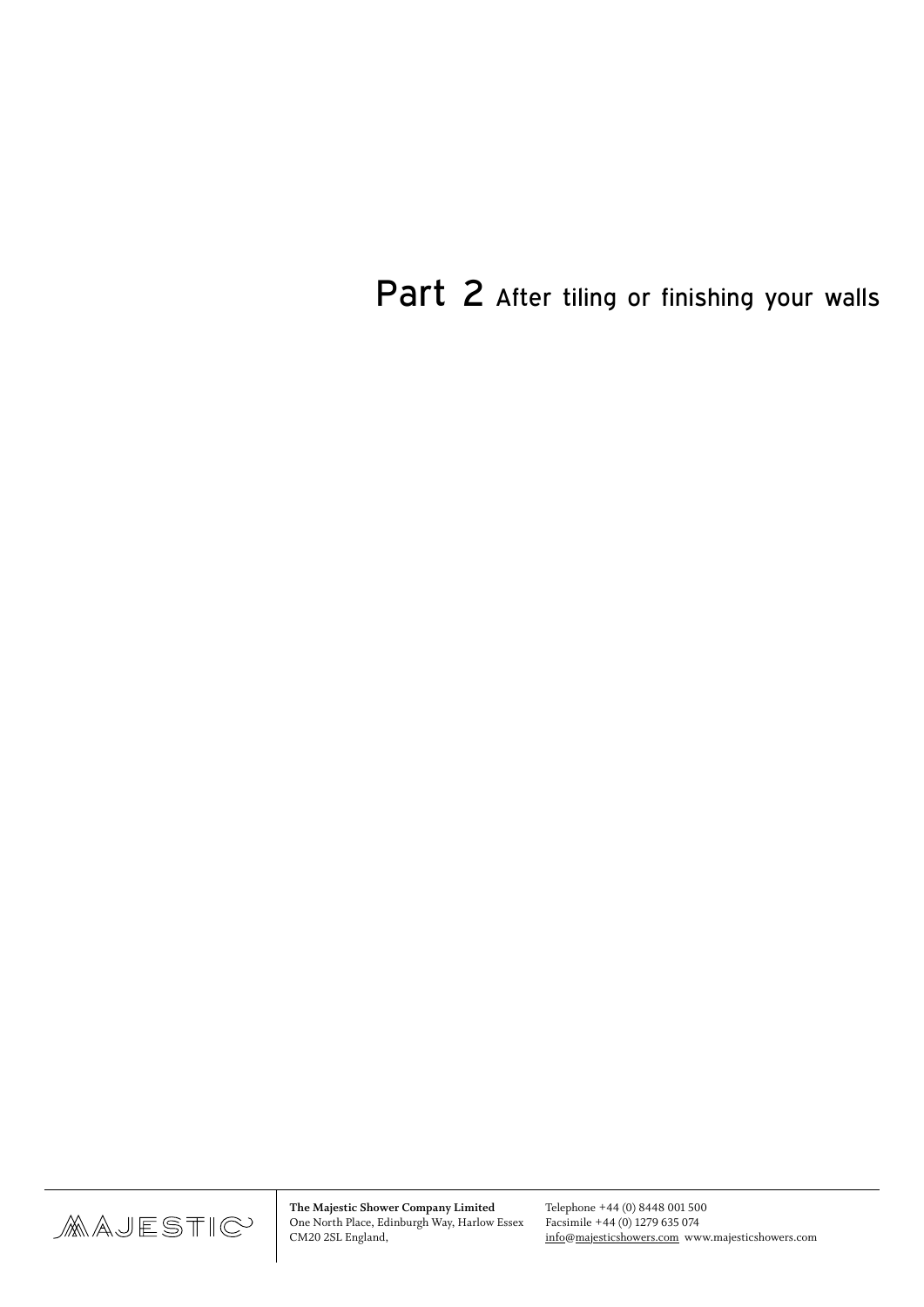Part 2 After tiling or finishing your walls

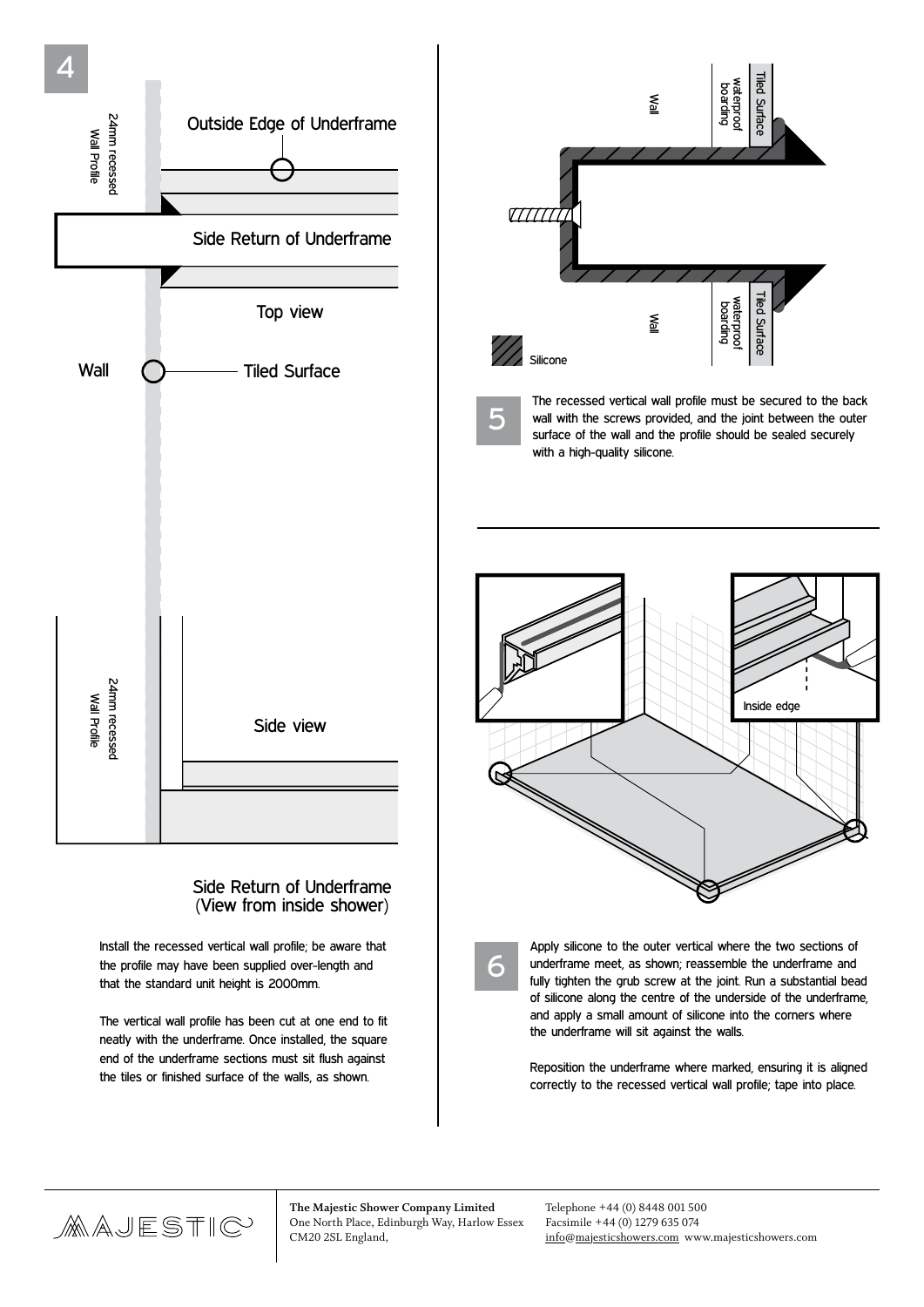

#### Side Return of Underframe (View from inside shower)

Install the recessed vertical wall profile; be aware that the profile may have been supplied over-length and that the standard unit height is 2000mm.

The vertical wall profile has been cut at one end to fit neatly with the underframe. Once installed, the square end of the underframe sections must sit flush against the tiles or finished surface of the walls, as shown.



5

The recessed vertical wall profile must be secured to the back wall with the screws provided, and the joint between the outer surface of the wall and the profile should be sealed securely with a high-quality silicone.

Inside edge

Surface



6

Apply silicone to the outer vertical where the two sections of underframe meet, as shown; reassemble the underframe and fully tighten the grub screw at the joint. Run a substantial bead of silicone along the centre of the underside of the underframe, and apply a small amount of silicone into the corners where the underframe will sit against the walls.

Reposition the underframe where marked, ensuring it is aligned correctly to the recessed vertical wall profile; tape into place.

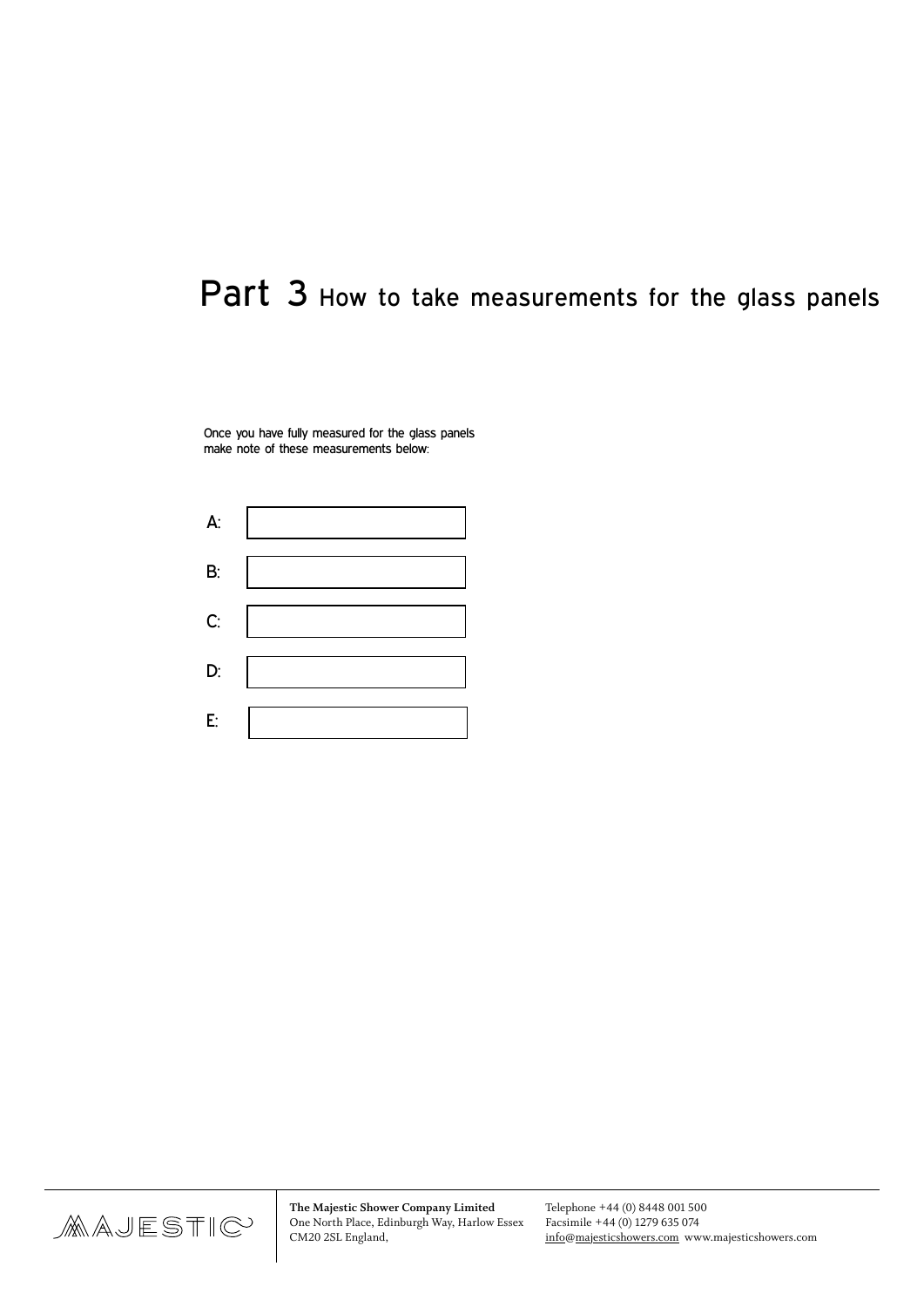# Part 3 How to take measurements for the glass panels

Once you have fully measured for the glass panels make note of these measurements below:



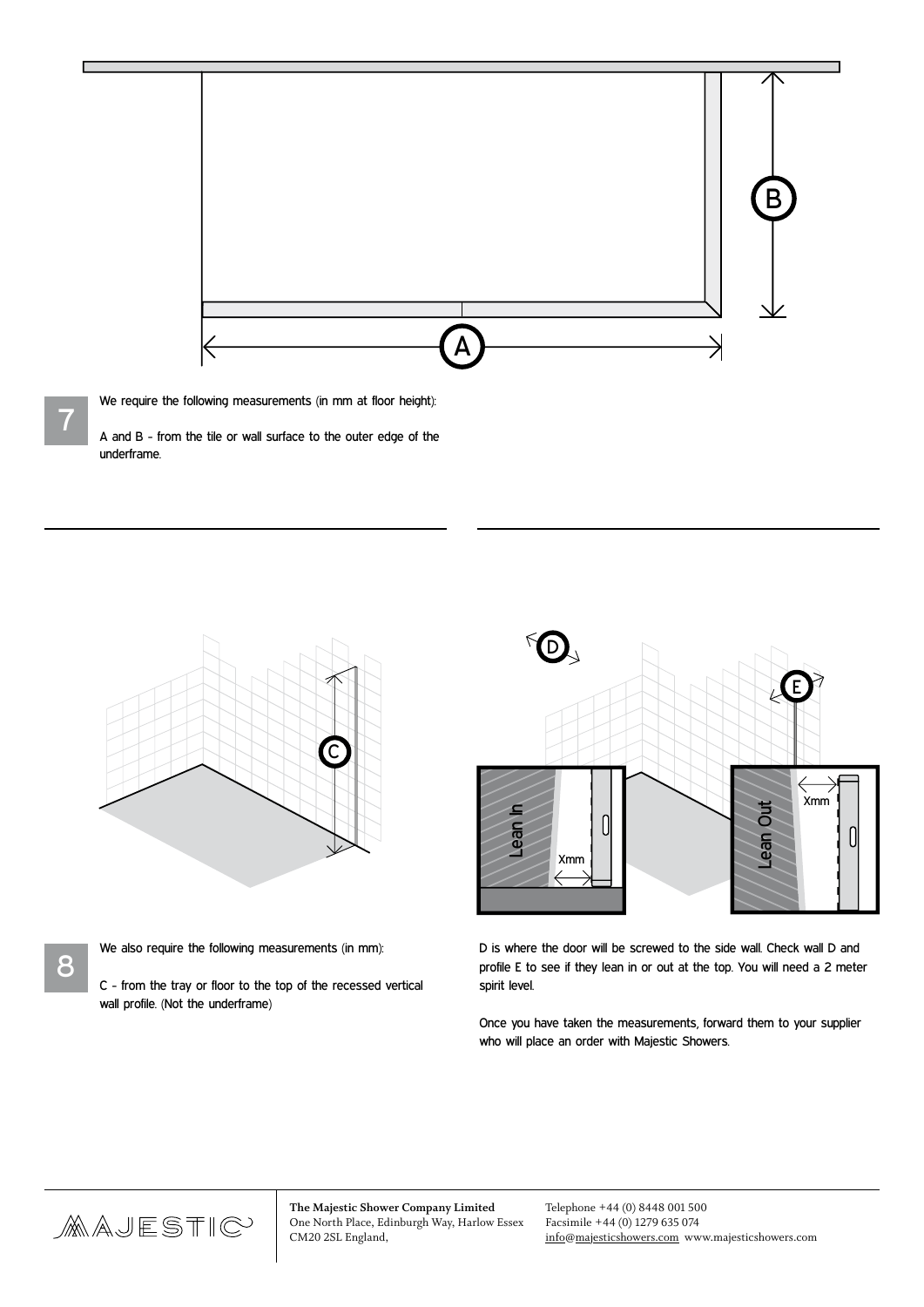

 $\overline{a}$ 

We require the following measurements (in mm at floor height):

7

8

A and B - from the tile or wall surface to the outer edge of the underframe.



- We also require the following measurements (in mm):
- C from the tray or floor to the top of the recessed vertical wall profile. (Not the underframe)



D is where the door will be screwed to the side wall. Check wall D and profile E to see if they lean in or out at the top. You will need a 2 meter spirit level.

Once you have taken the measurements, forward them to your supplier who will place an order with Majestic Showers.

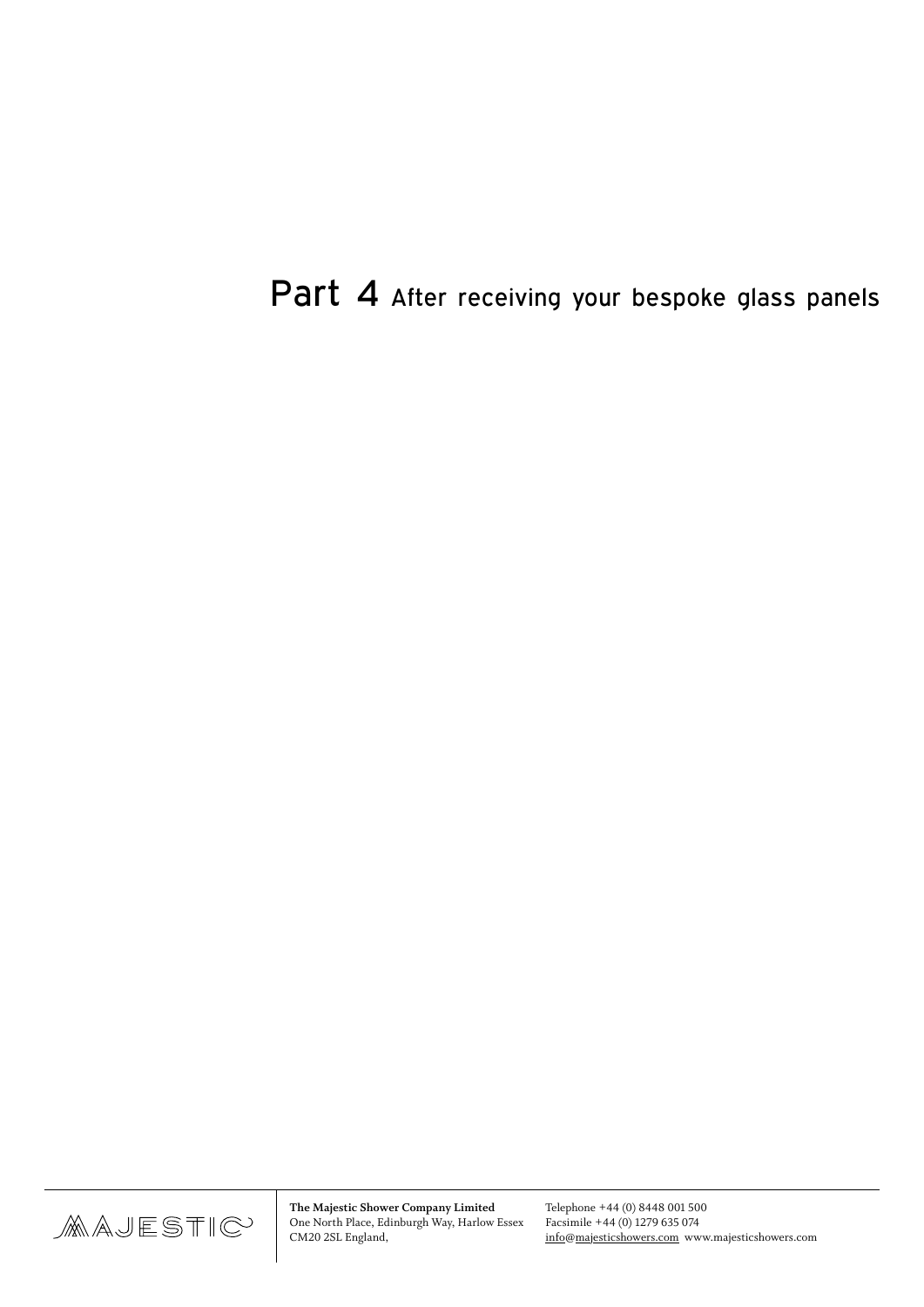# Part 4 After receiving your bespoke glass panels

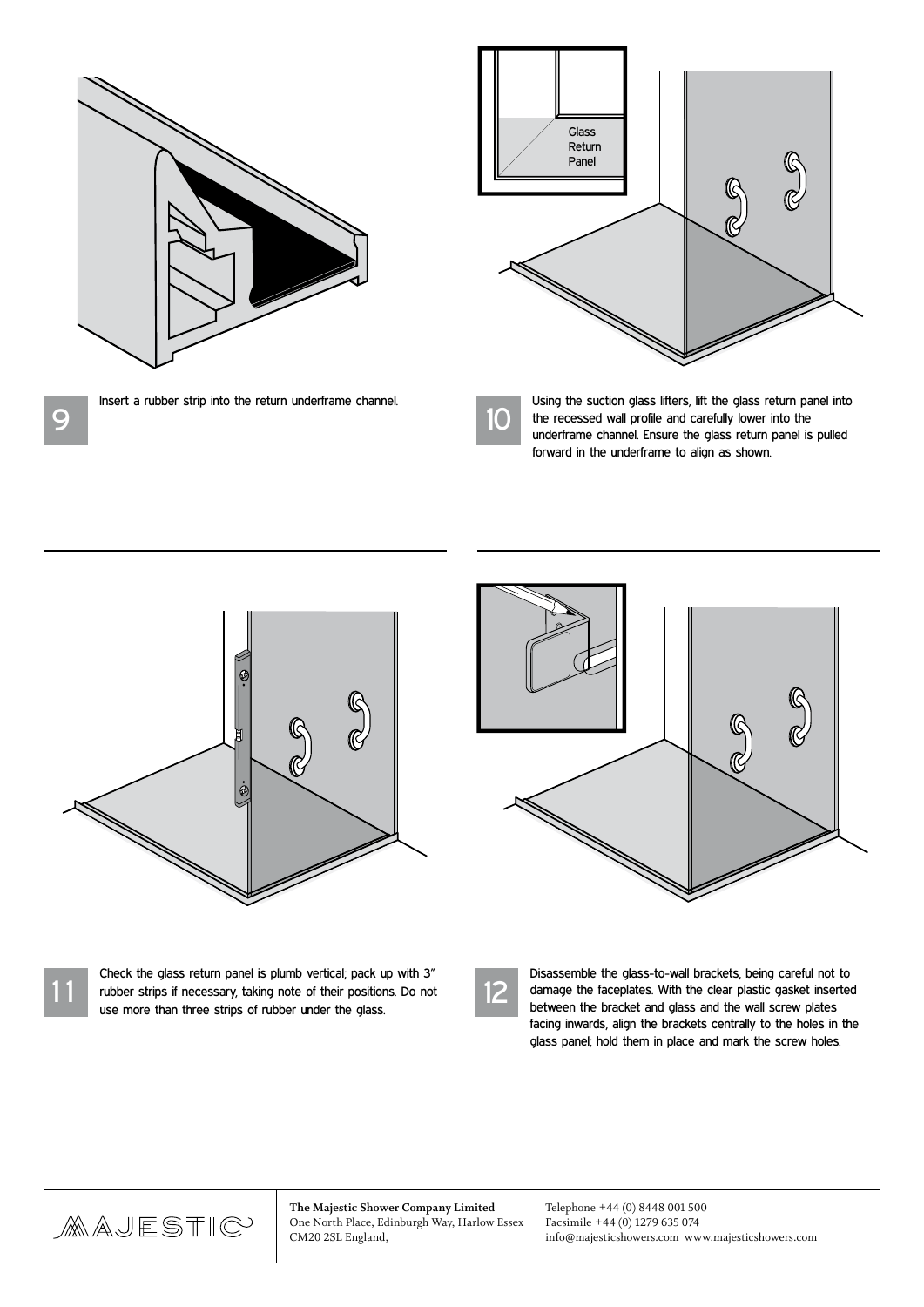

Insert a rubber strip into the return underframe channel.



Using the suction glass lifters, lift the glass return panel into<br>the recessed wall profile and carefully lower into the the recessed wall profile and carefully lower into the underframe channel. Ensure the glass return panel is pulled forward in the underframe to align as shown.



1 1

9

Check the glass return panel is plumb vertical; pack up with 3" rubber strips if necessary, taking note of their positions. Do not use more than three strips of rubber under the glass.



Disassemble the glass-to-wall brackets, being careful not to damage the faceplates. With the clear plastic gasket inserted between the bracket and glass and the wall screw plates facing inwards, align the brackets centrally to the holes in the glass panel; hold them in place and mark the screw holes.

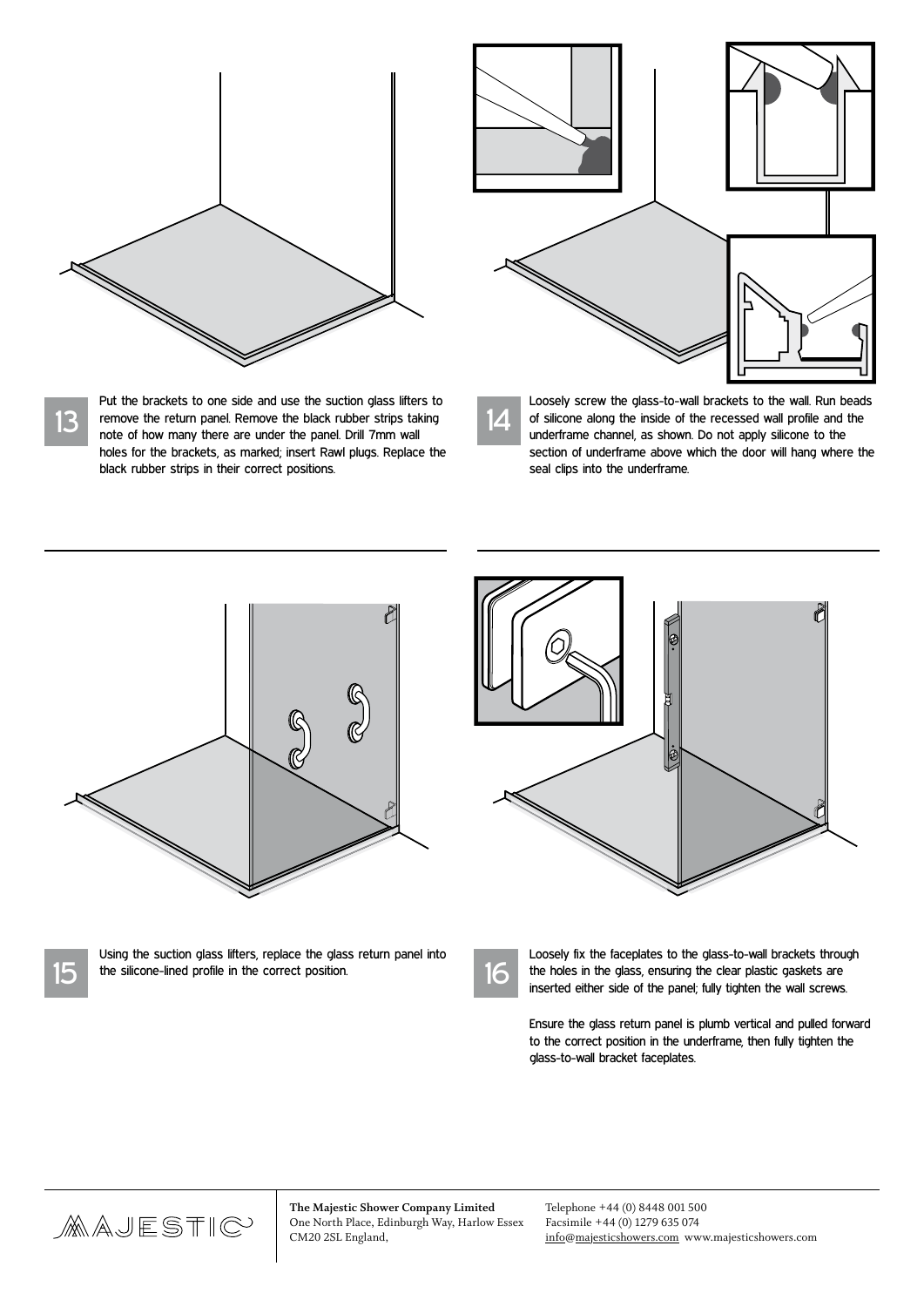

Put the brackets to one side and use the suction glass lifters to remove the return panel. Remove the black rubber strips taking note of how many there are under the panel. Drill 7mm wall holes for the brackets, as marked; insert Rawl plugs. Replace the black rubber strips in their correct positions.

13

15



14 Loosely screw the glass-to-wall brackets to the wall. Run beads of silicone along the inside of the recessed wall profile and the underframe channel, as shown. Do not apply silicone to the section of underframe above which the door will hang where the seal clips into the underframe.



Using the suction glass lifters, replace the glass return panel into

the silicone-lined profile in the correct position.

Ò Top of door  $\Box$  $\Box$ 

| ٠ |
|---|
|   |

Loosely fix the faceplates to the glass-to-wall brackets through the holes in the glass, ensuring the clear plastic gaskets are inserted either side of the panel; fully tighten the wall screws.

Ensure the glass return panel is plumb vertical and pulled forward to the correct position in the underframe, then fully tighten the glass-to-wall bracket faceplates.

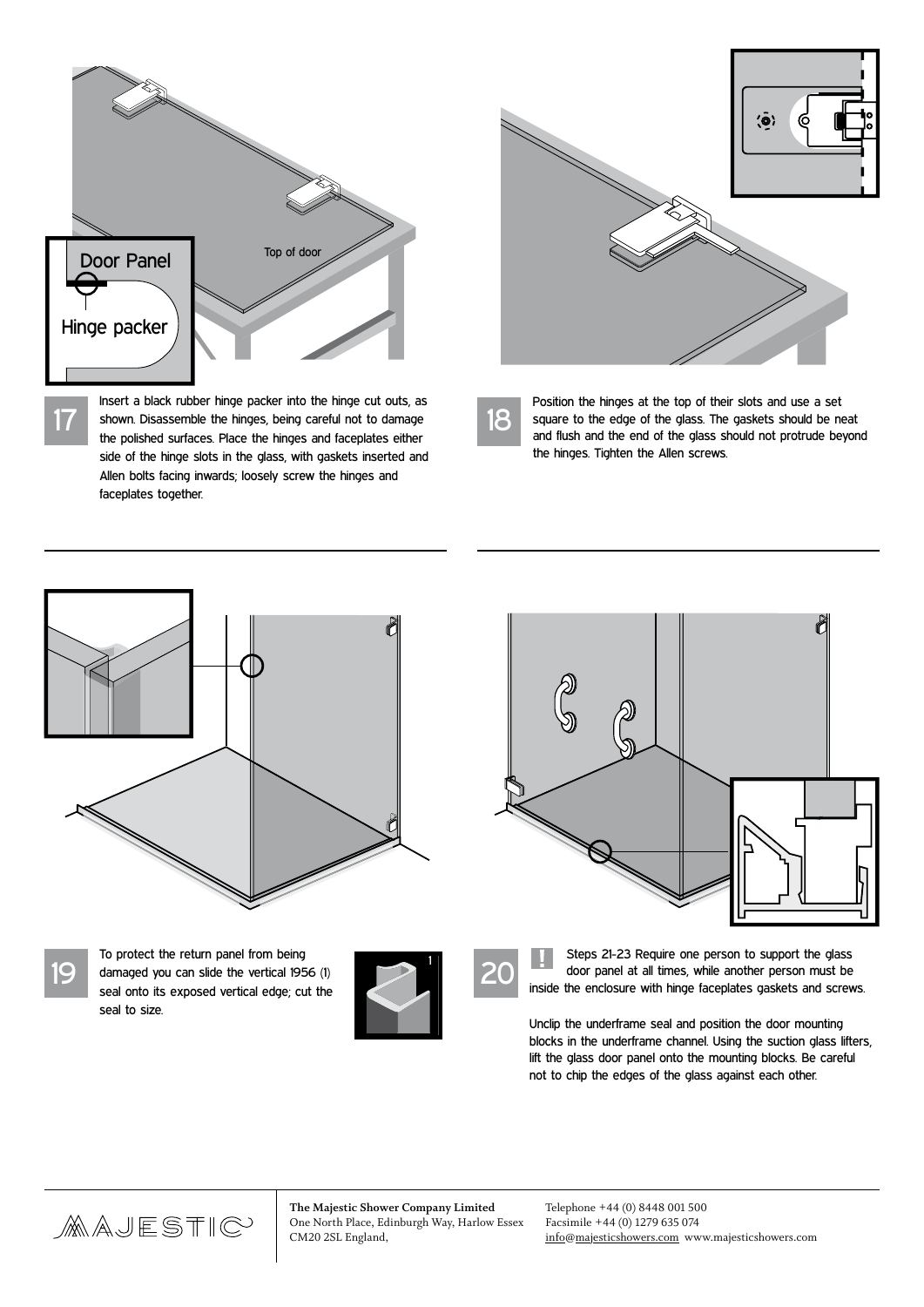

Insert a black rubber hinge packer into the hinge cut outs, as shown. Disassemble the hinges, being careful not to damage the polished surfaces. Place the hinges and faceplates either side of the hinge slots in the glass, with gaskets inserted and Allen bolts facing inwards; loosely screw the hinges and faceplates together.



18

Position the hinges at the top of their slots and use a set square to the edge of the glass. The gaskets should be neat and flush and the end of the glass should not protrude beyond the hinges. Tighten the Allen screws.





19

17

To protect the return panel from being damaged you can slide the vertical 1956 (1) seal onto its exposed vertical edge; cut the seal to size.



20

Steps 21-23 Require one person to support the glass door panel at all times, while another person must be inside the enclosure with hinge faceplates gaskets and screws.

Unclip the underframe seal and position the door mounting blocks in the underframe channel. Using the suction glass lifters, lift the glass door panel onto the mounting blocks. Be careful not to chip the edges of the glass against each other.

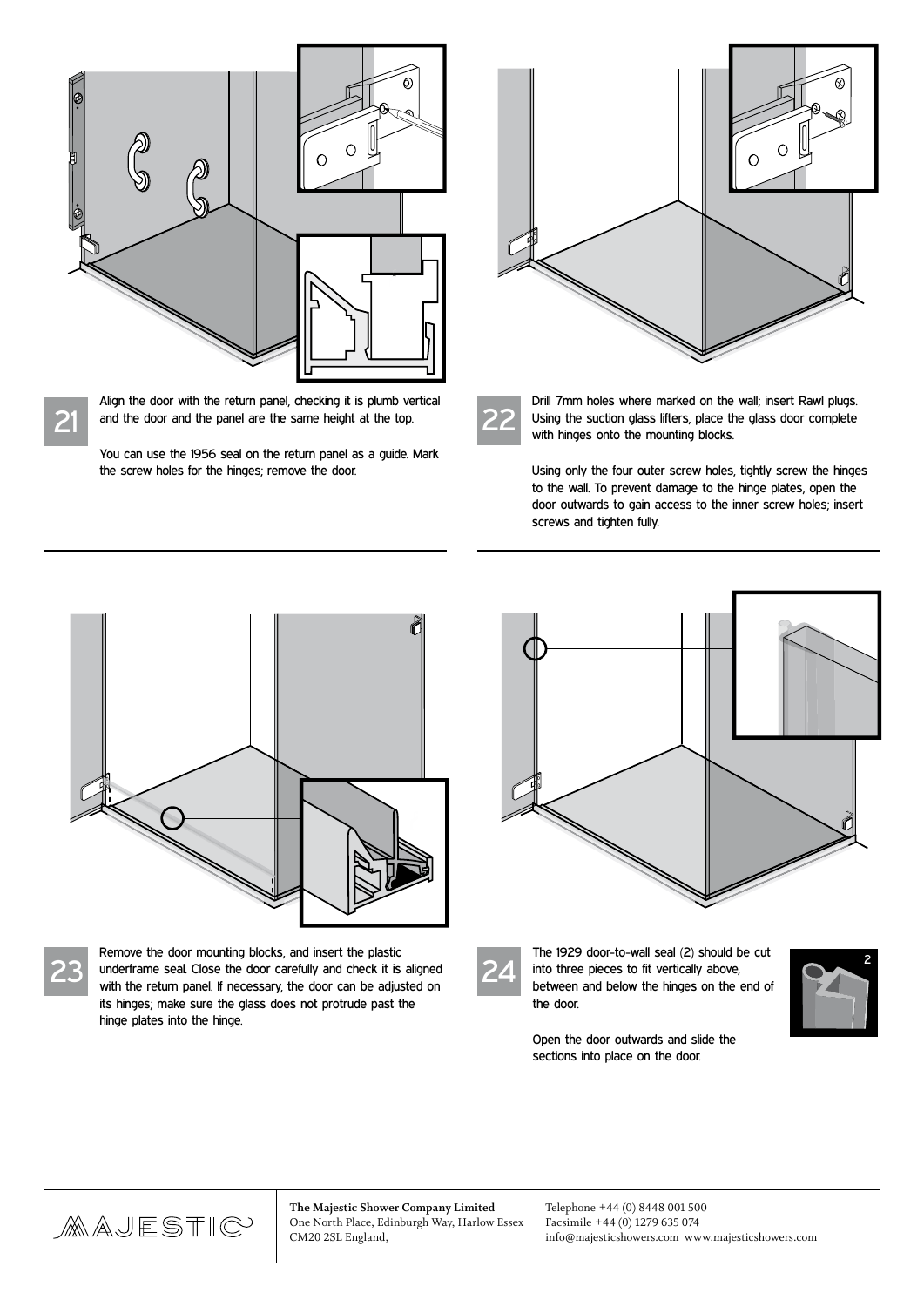

Align the door with the return panel, checking it is plumb vertical and the door and the panel are the same height at the top.

You can use the 1956 seal on the return panel as a guide. Mark the screw holes for the hinges; remove the door.



22

Drill 7mm holes where marked on the wall; insert Rawl plugs. Using the suction glass lifters, place the glass door complete with hinges onto the mounting blocks.

Using only the four outer screw holes, tightly screw the hinges to the wall. To prevent damage to the hinge plates, open the door outwards to gain access to the inner screw holes; insert screws and tighten fully.



23

21

Remove the door mounting blocks, and insert the plastic underframe seal. Close the door carefully and check it is aligned with the return panel. If necessary, the door can be adjusted on its hinges; make sure the glass does not protrude past the hinge plates into the hinge.



24

The 1929 door-to-wall seal (2) should be cut into three pieces to fit vertically above, between and below the hinges on the end of the door.



Open the door outwards and slide the sections into place on the door.

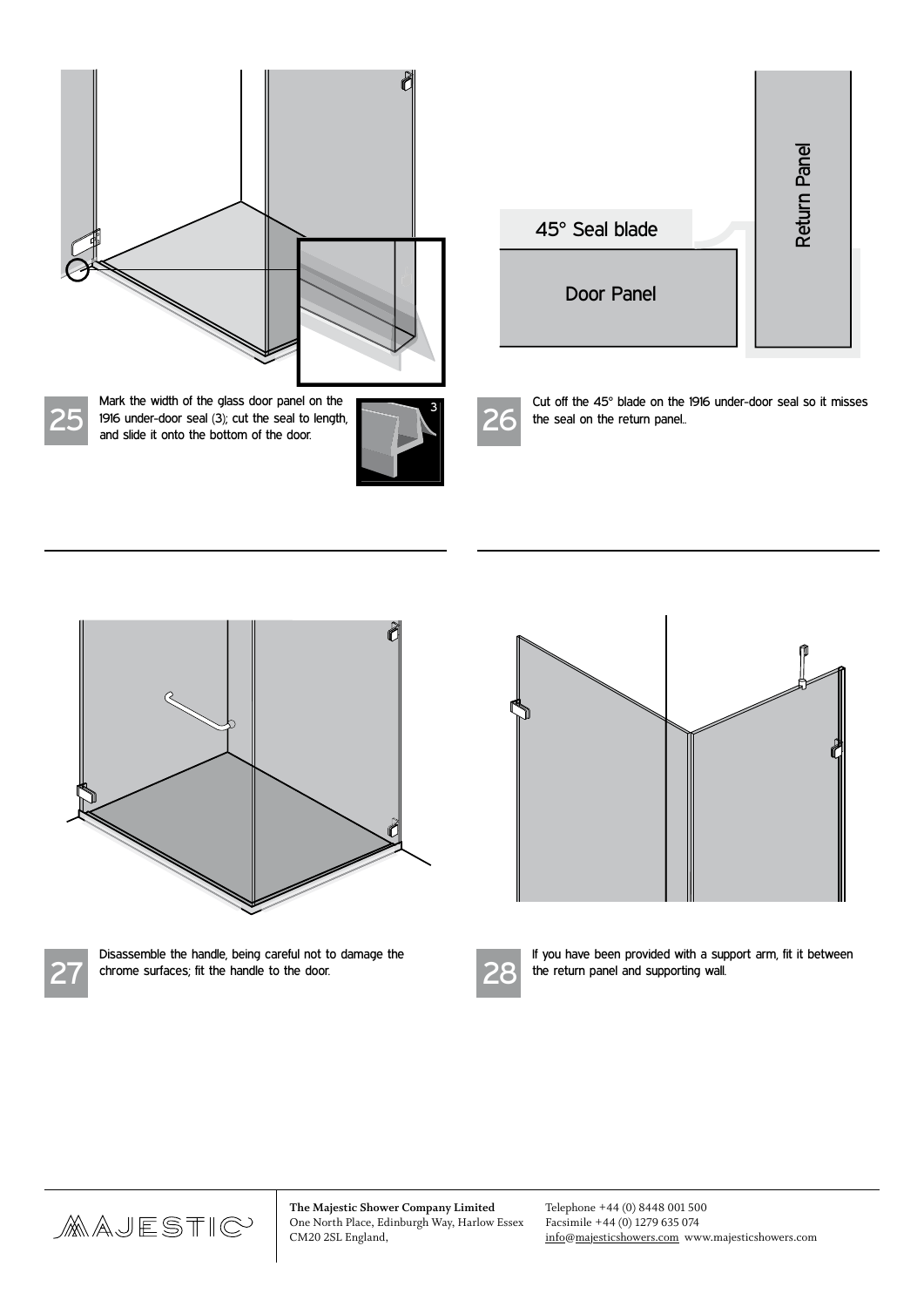

|                | Return Panel |
|----------------|--------------|
| 45° Seal blade |              |
| Door Panel     |              |

25



26

Cut off the 45° blade on the 1916 under-door seal so it misses the seal on the return panel..





Disassemble the handle, being careful not to damage the chrome surfaces; fit the handle to the door.





If you have been provided with a support arm, fit it between the return panel and supporting wall.

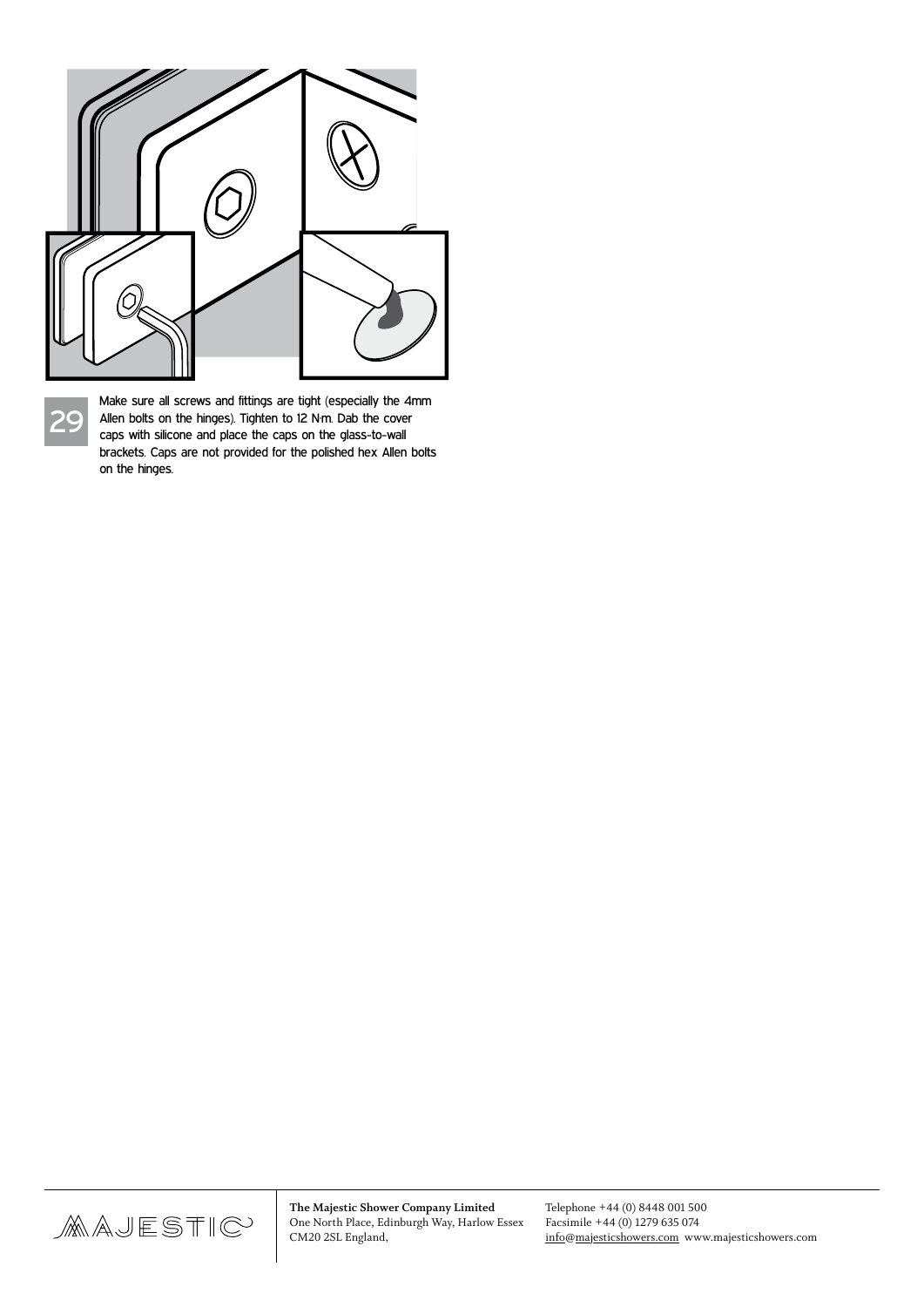

29

Make sure all screws and fittings are tight (especially the 4mm Allen bolts on the hinges). Tighten to 12 N·m. Dab the cover caps with silicone and place the caps on the glass-to-wall brackets. Caps are not provided for the polished hex Allen bolts on the hinges.